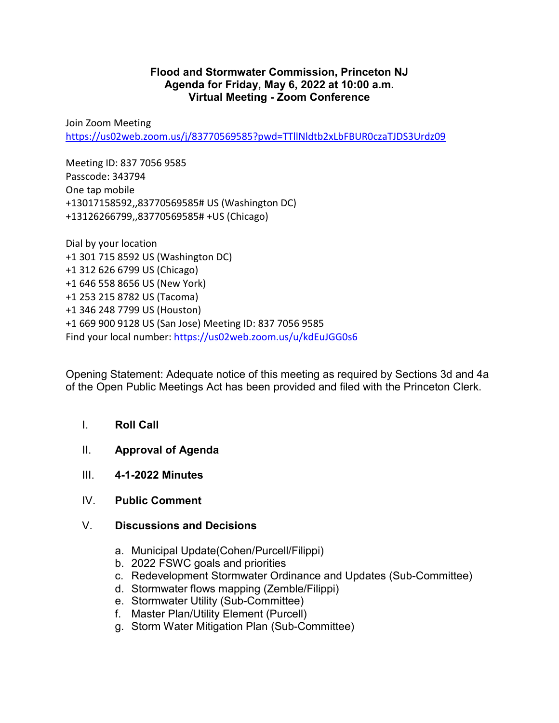## **Flood and Stormwater Commission, Princeton NJ Agenda for Friday, May 6, 2022 at 10:00 a.m. Virtual Meeting - Zoom Conference**

Join Zoom Meeting <https://us02web.zoom.us/j/83770569585?pwd=TTllNldtb2xLbFBUR0czaTJDS3Urdz09>

Meeting ID: 837 7056 9585 Passcode: 343794 One tap mobile +13017158592,,83770569585# US (Washington DC) +13126266799,,83770569585# +US (Chicago)

Dial by your location +1 301 715 8592 US (Washington DC) +1 312 626 6799 US (Chicago) +1 646 558 8656 US (New York) +1 253 215 8782 US (Tacoma) +1 346 248 7799 US (Houston) +1 669 900 9128 US (San Jose) Meeting ID: 837 7056 9585 Find your local number:<https://us02web.zoom.us/u/kdEuJGG0s6>

Opening Statement: Adequate notice of this meeting as required by Sections 3d and 4a of the Open Public Meetings Act has been provided and filed with the Princeton Clerk.

- I. **Roll Call**
- II. **Approval of Agenda**
- III. **4-1-2022 Minutes**
- IV. **Public Comment**
- V. **Discussions and Decisions**
	- a. Municipal Update(Cohen/Purcell/Filippi)
	- b. 2022 FSWC goals and priorities
	- c. Redevelopment Stormwater Ordinance and Updates (Sub-Committee)
	- d. Stormwater flows mapping (Zemble/Filippi)
	- e. Stormwater Utility (Sub-Committee)
	- f. Master Plan/Utility Element (Purcell)
	- g. Storm Water Mitigation Plan (Sub-Committee)